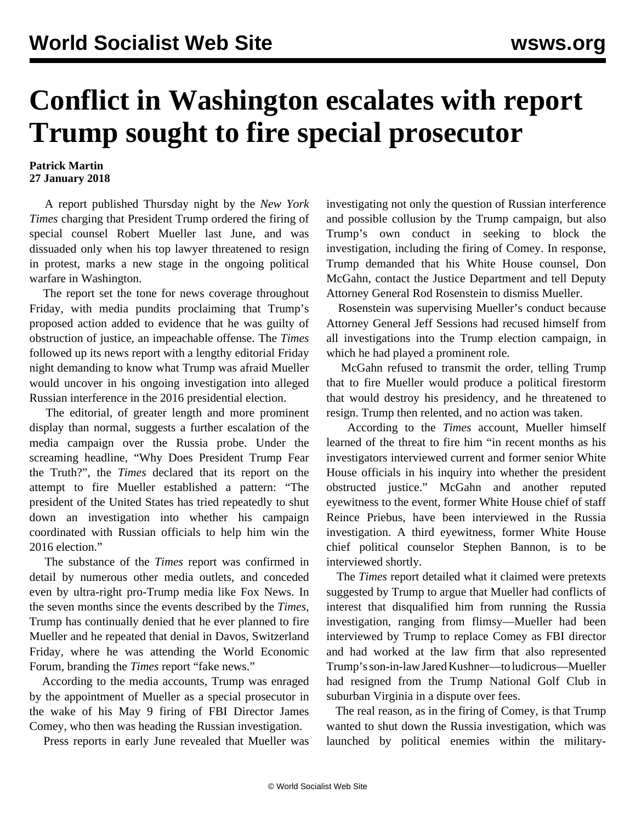## **Conflict in Washington escalates with report Trump sought to fire special prosecutor**

## **Patrick Martin 27 January 2018**

 A report published Thursday night by the *New York Times* charging that President Trump ordered the firing of special counsel Robert Mueller last June, and was dissuaded only when his top lawyer threatened to resign in protest, marks a new stage in the ongoing political warfare in Washington.

 The report set the tone for news coverage throughout Friday, with media pundits proclaiming that Trump's proposed action added to evidence that he was guilty of obstruction of justice, an impeachable offense. The *Times* followed up its news report with a lengthy editorial Friday night demanding to know what Trump was afraid Mueller would uncover in his ongoing investigation into alleged Russian interference in the 2016 presidential election.

 The editorial, of greater length and more prominent display than normal, suggests a further escalation of the media campaign over the Russia probe. Under the screaming headline, "Why Does President Trump Fear the Truth?", the *Times* declared that its report on the attempt to fire Mueller established a pattern: "The president of the United States has tried repeatedly to shut down an investigation into whether his campaign coordinated with Russian officials to help him win the 2016 election."

 The substance of the *Times* report was confirmed in detail by numerous other media outlets, and conceded even by ultra-right pro-Trump media like Fox News. In the seven months since the events described by the *Times*, Trump has continually denied that he ever planned to fire Mueller and he repeated that denial in Davos, Switzerland Friday, where he was attending the World Economic Forum, branding the *Times* report "fake news."

 According to the media accounts, Trump was enraged by the appointment of Mueller as a special prosecutor in the wake of his May 9 firing of FBI Director James Comey, who then was heading the Russian investigation.

Press reports in early June revealed that Mueller was

investigating not only the question of Russian interference and possible collusion by the Trump campaign, but also Trump's own conduct in seeking to block the investigation, including the firing of Comey. In response, Trump demanded that his White House counsel, Don McGahn, contact the Justice Department and tell Deputy Attorney General Rod Rosenstein to dismiss Mueller.

 Rosenstein was supervising Mueller's conduct because Attorney General Jeff Sessions had recused himself from all investigations into the Trump election campaign, in which he had played a prominent role.

 McGahn refused to transmit the order, telling Trump that to fire Mueller would produce a political firestorm that would destroy his presidency, and he threatened to resign. Trump then relented, and no action was taken.

 According to the *Times* account, Mueller himself learned of the threat to fire him "in recent months as his investigators interviewed current and former senior White House officials in his inquiry into whether the president obstructed justice." McGahn and another reputed eyewitness to the event, former White House chief of staff Reince Priebus, have been interviewed in the Russia investigation. A third eyewitness, former White House chief political counselor Stephen Bannon, is to be interviewed shortly.

 The *Times* report detailed what it claimed were pretexts suggested by Trump to argue that Mueller had conflicts of interest that disqualified him from running the Russia investigation, ranging from flimsy—Mueller had been interviewed by Trump to replace Comey as FBI director and had worked at the law firm that also represented Trump's son-in-law Jared Kushner—to ludicrous—Mueller had resigned from the Trump National Golf Club in suburban Virginia in a dispute over fees.

 The real reason, as in the firing of Comey, is that Trump wanted to shut down the Russia investigation, which was launched by political enemies within the military